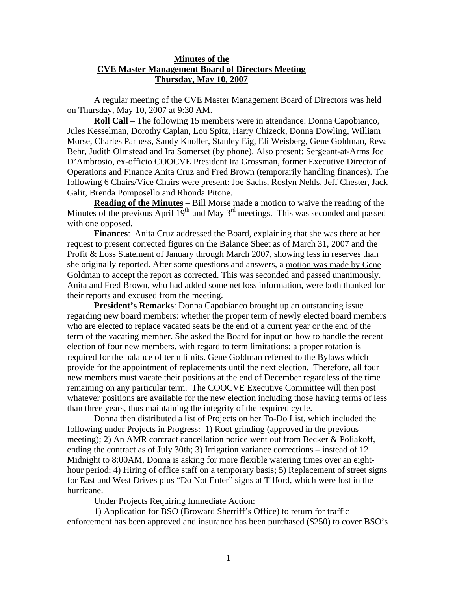## **Minutes of the CVE Master Management Board of Directors Meeting Thursday, May 10, 2007**

 A regular meeting of the CVE Master Management Board of Directors was held on Thursday, May 10, 2007 at 9:30 AM.

 **Roll Call** – The following 15 members were in attendance: Donna Capobianco, Jules Kesselman, Dorothy Caplan, Lou Spitz, Harry Chizeck, Donna Dowling, William Morse, Charles Parness, Sandy Knoller, Stanley Eig, Eli Weisberg, Gene Goldman, Reva Behr, Judith Olmstead and Ira Somerset (by phone). Also present: Sergeant-at-Arms Joe D'Ambrosio, ex-officio COOCVE President Ira Grossman, former Executive Director of Operations and Finance Anita Cruz and Fred Brown (temporarily handling finances). The following 6 Chairs/Vice Chairs were present: Joe Sachs, Roslyn Nehls, Jeff Chester, Jack Galit, Brenda Pomposello and Rhonda Pitone.

 **Reading of the Minutes** – Bill Morse made a motion to waive the reading of the Minutes of the previous April  $19<sup>th</sup>$  and May 3<sup>rd</sup> meetings. This was seconded and passed with one opposed.

**Finances**: Anita Cruz addressed the Board, explaining that she was there at her request to present corrected figures on the Balance Sheet as of March 31, 2007 and the Profit & Loss Statement of January through March 2007, showing less in reserves than she originally reported. After some questions and answers, a motion was made by Gene Goldman to accept the report as corrected. This was seconded and passed unanimously. Anita and Fred Brown, who had added some net loss information, were both thanked for their reports and excused from the meeting.

**President's Remarks**: Donna Capobianco brought up an outstanding issue regarding new board members: whether the proper term of newly elected board members who are elected to replace vacated seats be the end of a current year or the end of the term of the vacating member. She asked the Board for input on how to handle the recent election of four new members, with regard to term limitations; a proper rotation is required for the balance of term limits. Gene Goldman referred to the Bylaws which provide for the appointment of replacements until the next election. Therefore, all four new members must vacate their positions at the end of December regardless of the time remaining on any particular term. The COOCVE Executive Committee will then post whatever positions are available for the new election including those having terms of less than three years, thus maintaining the integrity of the required cycle.

Donna then distributed a list of Projects on her To-Do List, which included the following under Projects in Progress: 1) Root grinding (approved in the previous meeting); 2) An AMR contract cancellation notice went out from Becker & Poliakoff, ending the contract as of July 30th; 3) Irrigation variance corrections – instead of 12 Midnight to 8:00AM, Donna is asking for more flexible watering times over an eighthour period; 4) Hiring of office staff on a temporary basis; 5) Replacement of street signs for East and West Drives plus "Do Not Enter" signs at Tilford, which were lost in the hurricane.

Under Projects Requiring Immediate Action:

1) Application for BSO (Broward Sherriff's Office) to return for traffic enforcement has been approved and insurance has been purchased (\$250) to cover BSO's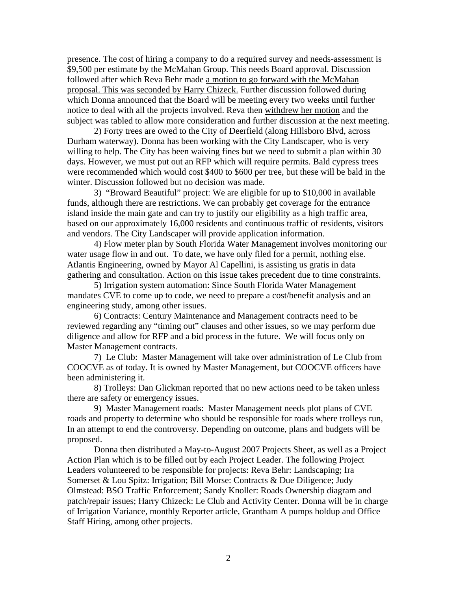presence. The cost of hiring a company to do a required survey and needs-assessment is \$9,500 per estimate by the McMahan Group. This needs Board approval. Discussion followed after which Reva Behr made a motion to go forward with the McMahan proposal. This was seconded by Harry Chizeck. Further discussion followed during which Donna announced that the Board will be meeting every two weeks until further notice to deal with all the projects involved. Reva then withdrew her motion and the subject was tabled to allow more consideration and further discussion at the next meeting.

2) Forty trees are owed to the City of Deerfield (along Hillsboro Blvd, across Durham waterway). Donna has been working with the City Landscaper, who is very willing to help. The City has been waiving fines but we need to submit a plan within 30 days. However, we must put out an RFP which will require permits. Bald cypress trees were recommended which would cost \$400 to \$600 per tree, but these will be bald in the winter. Discussion followed but no decision was made.

3) "Broward Beautiful" project: We are eligible for up to \$10,000 in available funds, although there are restrictions. We can probably get coverage for the entrance island inside the main gate and can try to justify our eligibility as a high traffic area, based on our approximately 16,000 residents and continuous traffic of residents, visitors and vendors. The City Landscaper will provide application information.

4) Flow meter plan by South Florida Water Management involves monitoring our water usage flow in and out. To date, we have only filed for a permit, nothing else. Atlantis Engineering, owned by Mayor Al Capellini, is assisting us gratis in data gathering and consultation. Action on this issue takes precedent due to time constraints.

5) Irrigation system automation: Since South Florida Water Management mandates CVE to come up to code, we need to prepare a cost/benefit analysis and an engineering study, among other issues.

6) Contracts: Century Maintenance and Management contracts need to be reviewed regarding any "timing out" clauses and other issues, so we may perform due diligence and allow for RFP and a bid process in the future. We will focus only on Master Management contracts.

 7) Le Club: Master Management will take over administration of Le Club from COOCVE as of today. It is owned by Master Management, but COOCVE officers have been administering it.

 8) Trolleys: Dan Glickman reported that no new actions need to be taken unless there are safety or emergency issues.

 9) Master Management roads: Master Management needs plot plans of CVE roads and property to determine who should be responsible for roads where trolleys run, In an attempt to end the controversy. Depending on outcome, plans and budgets will be proposed.

Donna then distributed a May-to-August 2007 Projects Sheet, as well as a Project Action Plan which is to be filled out by each Project Leader. The following Project Leaders volunteered to be responsible for projects: Reva Behr: Landscaping; Ira Somerset & Lou Spitz: Irrigation; Bill Morse: Contracts & Due Diligence; Judy Olmstead: BSO Traffic Enforcement; Sandy Knoller: Roads Ownership diagram and patch/repair issues; Harry Chizeck: Le Club and Activity Center. Donna will be in charge of Irrigation Variance, monthly Reporter article, Grantham A pumps holdup and Office Staff Hiring, among other projects.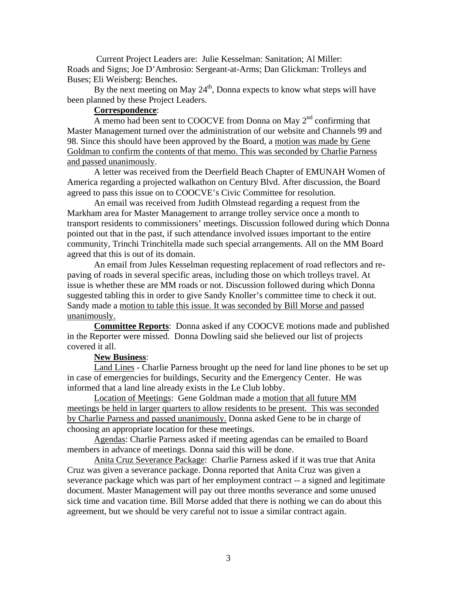Current Project Leaders are: Julie Kesselman: Sanitation; Al Miller: Roads and Signs; Joe D'Ambrosio: Sergeant-at-Arms; Dan Glickman: Trolleys and Buses; Eli Weisberg: Benches.

By the next meeting on May  $24<sup>th</sup>$ , Donna expects to know what steps will have been planned by these Project Leaders.

## **Correspondence**:

A memo had been sent to COOCVE from Donna on May  $2<sup>nd</sup>$  confirming that Master Management turned over the administration of our website and Channels 99 and 98. Since this should have been approved by the Board, a motion was made by Gene Goldman to confirm the contents of that memo. This was seconded by Charlie Parness and passed unanimously.

A letter was received from the Deerfield Beach Chapter of EMUNAH Women of America regarding a projected walkathon on Century Blvd. After discussion, the Board agreed to pass this issue on to COOCVE's Civic Committee for resolution.

An email was received from Judith Olmstead regarding a request from the Markham area for Master Management to arrange trolley service once a month to transport residents to commissioners' meetings. Discussion followed during which Donna pointed out that in the past, if such attendance involved issues important to the entire community, Trinchi Trinchitella made such special arrangements. All on the MM Board agreed that this is out of its domain.

An email from Jules Kesselman requesting replacement of road reflectors and repaving of roads in several specific areas, including those on which trolleys travel. At issue is whether these are MM roads or not. Discussion followed during which Donna suggested tabling this in order to give Sandy Knoller's committee time to check it out. Sandy made a motion to table this issue. It was seconded by Bill Morse and passed unanimously.

**Committee Reports**: Donna asked if any COOCVE motions made and published in the Reporter were missed. Donna Dowling said she believed our list of projects covered it all.

## **New Business**:

Land Lines - Charlie Parness brought up the need for land line phones to be set up in case of emergencies for buildings, Security and the Emergency Center. He was informed that a land line already exists in the Le Club lobby.

Location of Meetings: Gene Goldman made a motion that all future MM meetings be held in larger quarters to allow residents to be present. This was seconded by Charlie Parness and passed unanimously. Donna asked Gene to be in charge of choosing an appropriate location for these meetings.

Agendas: Charlie Parness asked if meeting agendas can be emailed to Board members in advance of meetings. Donna said this will be done.

Anita Cruz Severance Package: Charlie Parness asked if it was true that Anita Cruz was given a severance package. Donna reported that Anita Cruz was given a severance package which was part of her employment contract -- a signed and legitimate document. Master Management will pay out three months severance and some unused sick time and vacation time. Bill Morse added that there is nothing we can do about this agreement, but we should be very careful not to issue a similar contract again.